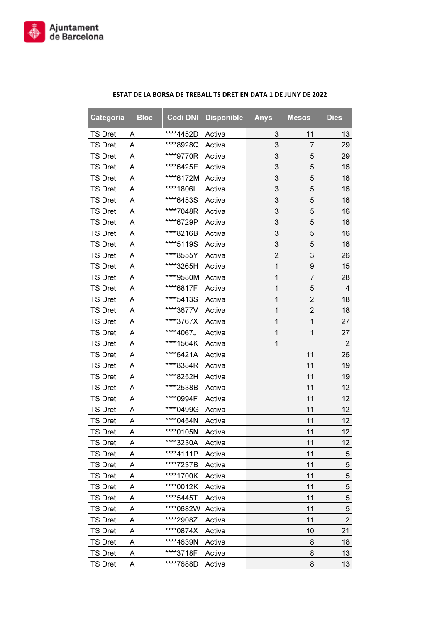

| Categoria      | <b>Bloc</b> | <b>Codi DNI</b> | <b>Disponible</b> | <b>Anys</b>    | <b>Mesos</b>              | <b>Dies</b>    |
|----------------|-------------|-----------------|-------------------|----------------|---------------------------|----------------|
| <b>TS Dret</b> | A           | ****4452D       | Activa            | 3              | 11                        | 13             |
| <b>TS Dret</b> | Α           | ****8928Q       | Activa            | 3              | 7                         | 29             |
| <b>TS Dret</b> | Α           | ****9770R       | Activa            | 3              | 5                         | 29             |
| <b>TS Dret</b> | Α           | ****6425E       | Activa            | 3              | 5                         | 16             |
| <b>TS Dret</b> | Α           | ****6172M       | Activa            | 3              | 5                         | 16             |
| <b>TS Dret</b> | Α           | ****1806L       | Activa            | 3              | 5                         | 16             |
| <b>TS Dret</b> | A           | ****6453S       | Activa            | 3              | 5                         | 16             |
| <b>TS Dret</b> | Α           | ****7048R       | Activa            | 3              | 5                         | 16             |
| <b>TS Dret</b> | Α           | ****6729P       | Activa            | 3              | 5                         | 16             |
| <b>TS Dret</b> | Α           | ****8216B       | Activa            | 3              | 5                         | 16             |
| <b>TS Dret</b> | Α           | ****5119S       | Activa            | 3              | 5                         | 16             |
| <b>TS Dret</b> | Α           | ****8555Y       | Activa            | $\overline{c}$ | $\ensuremath{\mathsf{3}}$ | 26             |
| <b>TS Dret</b> | Α           | ****3265H       | Activa            | $\mathbf{1}$   | 9                         | 15             |
| <b>TS Dret</b> | Α           | ****9580M       | Activa            | $\mathbf 1$    | 7                         | 28             |
| <b>TS Dret</b> | Α           | ****6817F       | Activa            | 1              | 5                         | 4              |
| <b>TS Dret</b> | Α           | ****5413S       | Activa            | 1              | $\overline{2}$            | 18             |
| <b>TS Dret</b> | Α           | ****3677V       | Activa            | 1              | $\overline{2}$            | 18             |
| <b>TS Dret</b> | Α           | ****3767X       | Activa            | 1              | 1                         | 27             |
| <b>TS Dret</b> | Α           | ****4067J       | Activa            | 1              | 1                         | 27             |
| <b>TS Dret</b> | Α           | ****1564K       | Activa            | 1              |                           | 2              |
| <b>TS Dret</b> | Α           | ****6421A       | Activa            |                | 11                        | 26             |
| <b>TS Dret</b> | Α           | ****8384R       | Activa            |                | 11                        | 19             |
| <b>TS Dret</b> | Α           | ****8252H       | Activa            |                | 11                        | 19             |
| <b>TS Dret</b> | Α           | ****2538B       | Activa            |                | 11                        | 12             |
| <b>TS Dret</b> | Α           | ****0994F       | Activa            |                | 11                        | 12             |
| <b>TS Dret</b> | Α           | ****0499G       | Activa            |                | 11                        | 12             |
| <b>TS Dret</b> | Α           | ****0454N       | Activa            |                | 11                        | 12             |
| <b>TS Dret</b> | Α           | ****0105N       | Activa            |                | 11                        | 12             |
| <b>TS Dret</b> | Α           | ****3230A       | Activa            |                | 11                        | 12             |
| <b>TS Dret</b> | Α           | ****4111P       | Activa            |                | 11                        | 5              |
| <b>TS Dret</b> | A           | ****7237B       | Activa            |                | 11                        | 5              |
| <b>TS Dret</b> | Α           | ****1700K       | Activa            |                | 11                        | 5              |
| <b>TS Dret</b> | A           | ****0012K       | Activa            |                | 11                        | 5              |
| <b>TS Dret</b> | Α           | ****5445T       | Activa            |                | 11                        | 5              |
| <b>TS Dret</b> | Α           | ****0682W       | Activa            |                | 11                        | 5              |
| <b>TS Dret</b> | Α           | ****2908Z       | Activa            |                | 11                        | $\overline{2}$ |
| <b>TS Dret</b> | Α           | ****0874X       | Activa            |                | 10                        | 21             |
| <b>TS Dret</b> | Α           | ****4639N       | Activa            |                | 8                         | 18             |
| <b>TS Dret</b> | Α           | ****3718F       | Activa            |                | 8                         | 13             |
| <b>TS Dret</b> | Α           | ****7688D       | Activa            |                | 8                         | 13             |

## ESTAT DE LA BORSA DE TREBALL TS DRET EN DATA 1 DE JUNY DE 2022